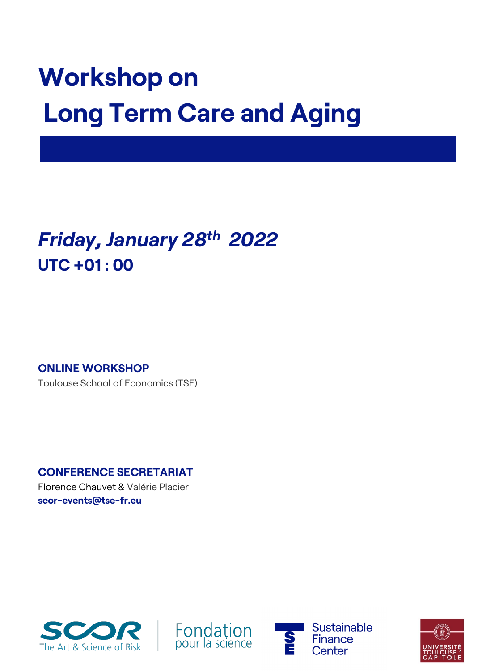## **Workshop on Long Term Care and Aging**

## *Friday, January 28th 2022* **UTC +01 : 00**

**ONLINE WORKSHOP**

Toulouse School of Economics (TSE)

**CONFERENCE SECRETARIAT**

Florence Chauvet & Valérie Placier **scor-events@tse-fr.eu**